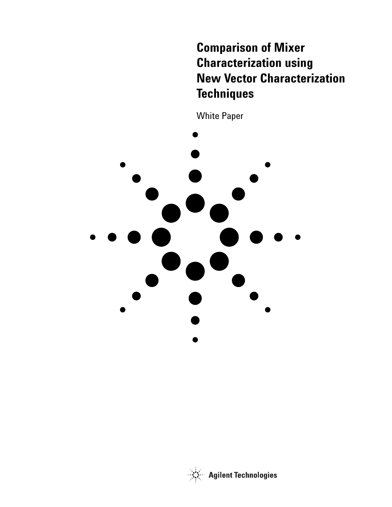# **Comparison of Mixer Characterization using New Vector Characterization Techniques**

White Paper



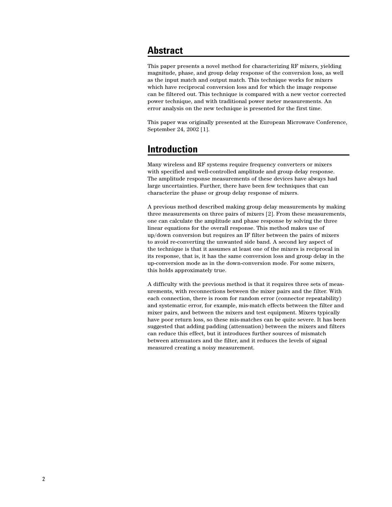### **Abstract**

This paper presents a novel method for characterizing RF mixers, yielding magnitude, phase, and group delay response of the conversion loss, as well as the input match and output match. This technique works for mixers which have reciprocal conversion loss and for which the image response can be filtered out. This technique is compared with a new vector corrected power technique, and with traditional power meter measurements. An error analysis on the new technique is presented for the first time.

This paper was originally presented at the European Microwave Conference, September 24, 2002 [1].

### **Introduction**

Many wireless and RF systems require frequency converters or mixers with specified and well-controlled amplitude and group delay response. The amplitude response measurements of these devices have always had large uncertainties. Further, there have been few techniques that can characterize the phase or group delay response of mixers.

A previous method described making group delay measurements by making three measurements on three pairs of mixers [2]. From these measurements, one can calculate the amplitude and phase response by solving the three linear equations for the overall response. This method makes use of up/down conversion but requires an IF filter between the pairs of mixers to avoid re-converting the unwanted side band. A second key aspect of the technique is that it assumes at least one of the mixers is reciprocal in its response, that is, it has the same conversion loss and group delay in the up-conversion mode as in the down-conversion mode. For some mixers, this holds approximately true.

A difficulty with the previous method is that it requires three sets of measurements, with reconnections between the mixer pairs and the filter. With each connection, there is room for random error (connector repeatability) and systematic error, for example, mis-match effects between the filter and mixer pairs, and between the mixers and test equipment. Mixers typically have poor return loss, so these mis-matches can be quite severe. It has been suggested that adding padding (attenuation) between the mixers and filters can reduce this effect, but it introduces further sources of mismatch between attenuators and the filter, and it reduces the levels of signal measured creating a noisy measurement.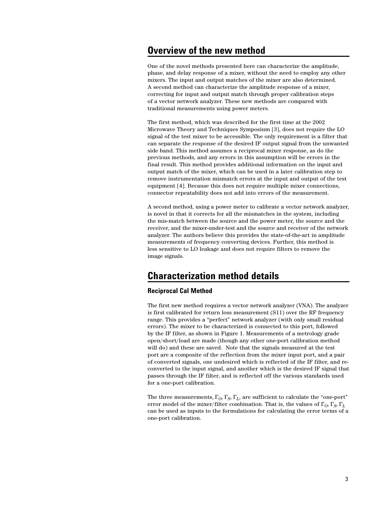### **Overview of the new method**

One of the novel methods presented here can characterize the amplitude, phase, and delay response of a mixer, without the need to employ any other mixers. The input and output matches of the mixer are also determined. A second method can characterize the amplitude response of a mixer, correcting for input and output match through proper calibration steps of a vector network analyzer. These new methods are compared with traditional measurements using power meters.

The first method, which was described for the first time at the 2002 Microwave Theory and Techniques Symposium [3], does not require the LO signal of the test mixer to be accessible. The only requirement is a filter that can separate the response of the desired IF output signal from the unwanted side band. This method assumes a reciprocal mixer response, as do the previous methods, and any errors in this assumption will be errors in the final result. This method provides additional information on the input and output match of the mixer, which can be used in a later calibration step to remove instrumentation mismatch errors at the input and output of the test equipment [4]. Because this does not require multiple mixer connections, connector repeatability does not add into errors of the measurement.

A second method, using a power meter to calibrate a vector network analyzer, is novel in that it corrects for all the mismatches in the system, including the mis-match between the source and the power meter, the source and the receiver, and the mixer-under-test and the source and receiver of the network analyzer. The authors believe this provides the state-of-the-art in amplitude measurements of frequency converting devices. Further, this method is less sensitive to LO leakage and does not require filters to remove the image signals.

## **Characterization method details**

### **Reciprocal Cal Method**

The first new method requires a vector network analyzer (VNA). The analyzer is first calibrated for return loss measurement (S11) over the RF frequency range. This provides a "perfect" network analyzer (with only small residual errors). The mixer to be characterized is connected to this port, followed by the IF filter, as shown in Figure 1. Measurements of a metrology grade open/short/load are made (though any other one-port calibration method will do) and these are saved. Note that the signals measured at the test port are a composite of the reflection from the mixer input port, and a pair of converted signals, one undesired which is reflected of the IF filter, and reconverted to the input signal, and another which is the desired IF signal that passes through the IF filter, and is reflected off the various standards used for a one-port calibration.

The three measurements,  $\Gamma_O$ ,  $\Gamma_S$ ,  $\Gamma_L$ , are sufficient to calculate the "one-port" error model of the mixer/filter combination. That is, the values of  $\Gamma_O$ ,  $\Gamma_S$ ,  $\Gamma_L$ can be used as inputs to the formulations for calculating the error terms of a one-port calibration.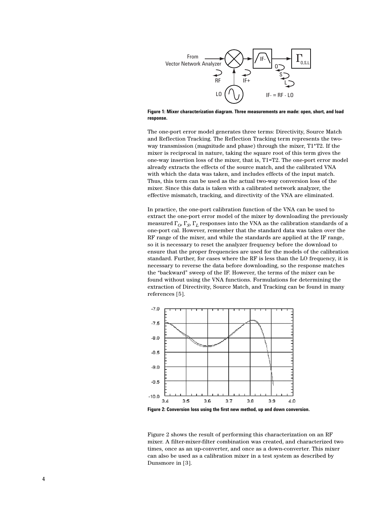

#### **Figure 1: Mixer characterization diagram. Three measurements are made: open, short, and load response.**

The one-port error model generates three terms: Directivity, Source Match and Reflection Tracking. The Reflection Tracking term represents the twoway transmission (magnitude and phase) through the mixer, T1\*T2. If the mixer is reciprocal in nature, taking the square root of this term gives the one-way insertion loss of the mixer, that is, T1=T2. The one-port error model already extracts the effects of the source match, and the calibrated VNA with which the data was taken, and includes effects of the input match. Thus, this term can be used as the actual two-way conversion loss of the mixer. Since this data is taken with a calibrated network analyzer, the effective mismatch, tracking, and directivity of the VNA are eliminated.

In practice, the one-port calibration function of the VNA can be used to extract the one-port error model of the mixer by downloading the previously measured  $\Gamma$ <sub>O</sub>,  $\Gamma$ <sub>S</sub>,  $\Gamma$ <sub>L</sub> responses into the VNA as the calibration standards of a one-port cal. However, remember that the standard data was taken over the RF range of the mixer, and while the standards are applied at the IF range, so it is necessary to reset the analyzer frequency before the download to ensure that the proper frequencies are used for the models of the calibration standard. Further, for cases where the RF is less than the LO frequency, it is necessary to reverse the data before downloading, so the response matches the "backward" sweep of the IF. However, the terms of the mixer can be found without using the VNA functions. Formulations for determining the extraction of Directivity, Source Match, and Tracking can be found in many references [5].



**Figure 2: Conversion loss using the first new method, up and down conversion.**

Figure 2 shows the result of performing this characterization on an RF mixer. A filter-mixer-filter combination was created, and characterized two times, once as an up-converter, and once as a down-converter. This mixer can also be used as a calibration mixer in a test system as described by Dunsmore in [3].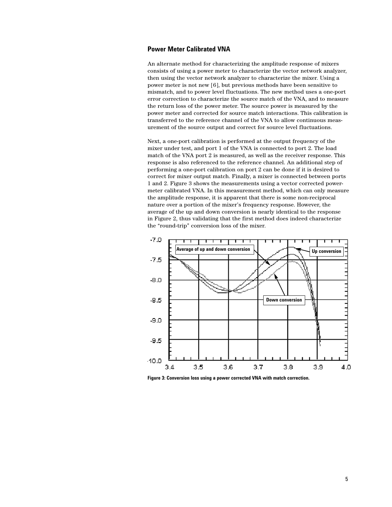### **Power Meter Calibrated VNA**

An alternate method for characterizing the amplitude response of mixers consists of using a power meter to characterize the vector network analyzer, then using the vector network analyzer to characterize the mixer. Using a power meter is not new [6], but previous methods have been sensitive to mismatch, and to power level fluctuations. The new method uses a one-port error correction to characterize the source match of the VNA, and to measure the return loss of the power meter. The source power is measured by the power meter and corrected for source match interactions. This calibration is transferred to the reference channel of the VNA to allow continuous measurement of the source output and correct for source level fluctuations.

Next, a one-port calibration is performed at the output frequency of the mixer under test, and port 1 of the VNA is connected to port 2. The load match of the VNA port 2 is measured, as well as the receiver response. This response is also referenced to the reference channel. An additional step of performing a one-port calibration on port 2 can be done if it is desired to correct for mixer output match. Finally, a mixer is connected between ports 1 and 2. Figure 3 shows the measurements using a vector corrected powermeter calibrated VNA. In this measurement method, which can only measure the amplitude response, it is apparent that there is some non-reciprocal nature over a portion of the mixer's frequency response. However, the average of the up and down conversion is nearly identical to the response in Figure 2, thus validating that the first method does indeed characterize the "round-trip" conversion loss of the mixer.



**Figure 3: Conversion loss using a power corrected VNA with match correction.**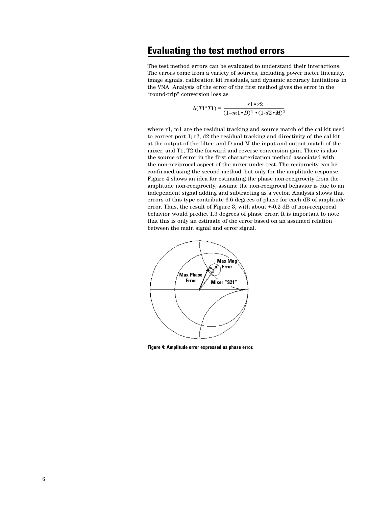### **Evaluating the test method errors**

The test method errors can be evaluated to understand their interactions. The errors come from a variety of sources, including power meter linearity, image signals, calibration kit residuals, and dynamic accuracy limitations in the VNA. Analysis of the error of the first method gives the error in the "round-trip" conversion loss as

$$
\Delta(T1^*T1) = \frac{r1 \cdot r2}{(1-m1 \cdot D)^2 \cdot (1 \cdot d2 \cdot M)^2}
$$

where r1, m1 are the residual tracking and source match of the cal kit used to correct port 1; r2, d2 the residual tracking and directivity of the cal kit at the output of the filter; and D and M the input and output match of the mixer, and T1, T2 the forward and reverse conversion gain. There is also the source of error in the first characterization method associated with the non-reciprocal aspect of the mixer under test. The reciprocity can be confirmed using the second method, but only for the amplitude response. Figure 4 shows an idea for estimating the phase non-reciprocity from the amplitude non-reciprocity, assume the non-reciprocal behavior is due to an independent signal adding and subtracting as a vector. Analysis shows that errors of this type contribute 6.6 degrees of phase for each dB of amplitude error. Thus, the result of Figure 3, with about +-0.2 dB of non-reciprocal behavior would predict 1.3 degrees of phase error. It is important to note that this is only an estimate of the error based on an assumed relation between the main signal and error signal.



**Figure 4: Amplitude error expressed as phase error.**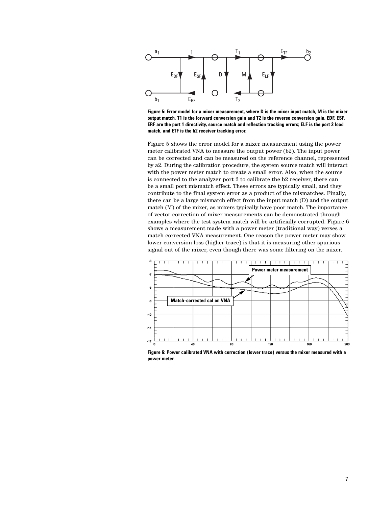

**Figure 5: Error model for a mixer measurement, where D is the mixer input match, M is the mixer output match, T1 is the forward conversion gain and T2 is the reverse conversion gain. EDF, ESF, ERF are the port 1 directivity, source match and reflection tracking errors; ELF is the port 2 load match, and ETF is the b2 receiver tracking error.**

Figure 5 shows the error model for a mixer measurement using the power meter calibrated VNA to measure the output power (b2). The input power can be corrected and can be measured on the reference channel, represented by a2. During the calibration procedure, the system source match will interact with the power meter match to create a small error. Also, when the source is connected to the analyzer port 2 to calibrate the b2 receiver, there can be a small port mismatch effect. These errors are typically small, and they contribute to the final system error as a product of the mismatches. Finally, there can be a large mismatch effect from the input match (D) and the output match (M) of the mixer, as mixers typically have poor match. The importance of vector correction of mixer measurements can be demonstrated through examples where the test system match will be artificially corrupted. Figure 6 shows a measurement made with a power meter (traditional way) verses a match corrected VNA measurement. One reason the power meter may show lower conversion loss (higher trace) is that it is measuring other spurious signal out of the mixer, even though there was some filtering on the mixer.



**Figure 6: Power calibrated VNA with correction (lower trace) versus the mixer measured with a power meter.**